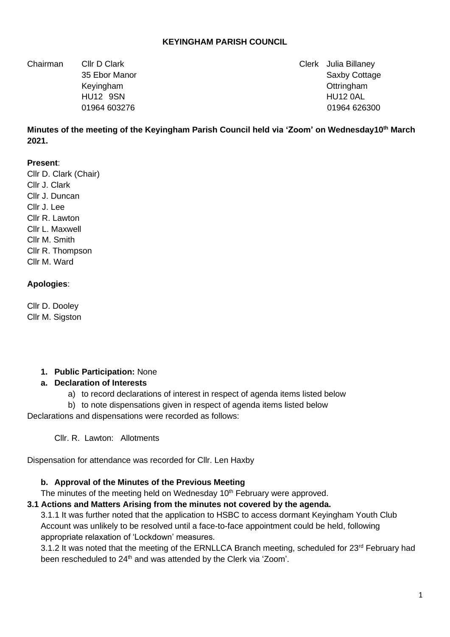### **KEYINGHAM PARISH COUNCIL**

Chairman Cllr D Clark Clerk Julia Billaney

35 Ebor Manor Saxby Cottage 35 Ebor Manor Saxby Cottage 35 Ebor Manor Saxby Cottage Keyingham Ottringham HU12 9SN HU12 0AL 01964 603276 01964 026300

**Minutes of the meeting of the Keyingham Parish Council held via 'Zoom' on Wednesday10th March 2021.**

### **Present**:

Cllr D. Clark (Chair) Cllr J. Clark Cllr J. Duncan Cllr J. Lee Cllr R. Lawton Cllr L. Maxwell Cllr M. Smith Cllr R. Thompson Cllr M. Ward

### **Apologies**:

Cllr D. Dooley Cllr M. Sigston

#### **1. Public Participation:** None

#### **a. Declaration of Interests**

- a) to record declarations of interest in respect of agenda items listed below
- b) to note dispensations given in respect of agenda items listed below

Declarations and dispensations were recorded as follows:

Cllr. R. Lawton: Allotments

Dispensation for attendance was recorded for Cllr. Len Haxby

### **b. Approval of the Minutes of the Previous Meeting**

The minutes of the meeting held on Wednesday 10<sup>th</sup> February were approved.

### **3.1 Actions and Matters Arising from the minutes not covered by the agenda.**

3.1.1 It was further noted that the application to HSBC to access dormant Keyingham Youth Club Account was unlikely to be resolved until a face-to-face appointment could be held, following appropriate relaxation of 'Lockdown' measures.

3.1.2 It was noted that the meeting of the ERNLLCA Branch meeting, scheduled for 23rd February had been rescheduled to 24<sup>th</sup> and was attended by the Clerk via 'Zoom'.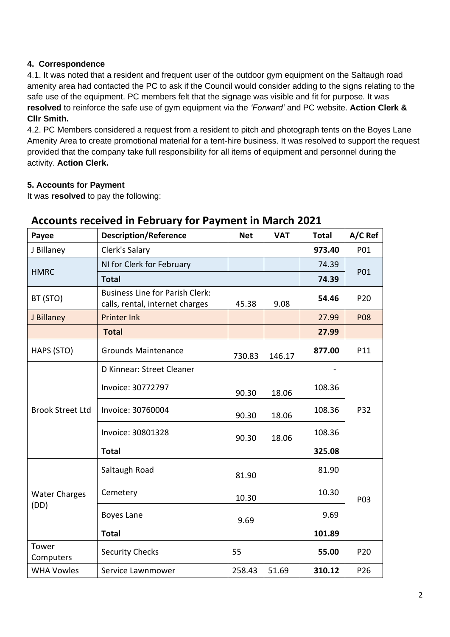## **4. Correspondence**

4.1. It was noted that a resident and frequent user of the outdoor gym equipment on the Saltaugh road amenity area had contacted the PC to ask if the Council would consider adding to the signs relating to the safe use of the equipment. PC members felt that the signage was visible and fit for purpose. It was **resolved** to reinforce the safe use of gym equipment via the *'Forward'* and PC website. **Action Clerk & Cllr Smith.**

4.2. PC Members considered a request from a resident to pitch and photograph tents on the Boyes Lane Amenity Area to create promotional material for a tent-hire business. It was resolved to support the request provided that the company take full responsibility for all items of equipment and personnel during the activity. **Action Clerk.**

## **5. Accounts for Payment**

It was **resolved** to pay the following:

| Payee                        | <b>Description/Reference</b>                                              | <b>Net</b> | <b>VAT</b> | <b>Total</b> | A/C Ref    |
|------------------------------|---------------------------------------------------------------------------|------------|------------|--------------|------------|
| J Billaney                   | Clerk's Salary                                                            |            |            | 973.40       | P01        |
| <b>HMRC</b>                  | NI for Clerk for February                                                 |            |            | 74.39        |            |
|                              | <b>Total</b>                                                              |            |            | 74.39        | P01        |
| BT (STO)                     | <b>Business Line for Parish Clerk:</b><br>calls, rental, internet charges | 45.38      | 9.08       | 54.46        | P20        |
| J Billaney                   | <b>Printer Ink</b>                                                        |            |            | 27.99        | <b>P08</b> |
|                              | <b>Total</b>                                                              |            |            | 27.99        |            |
| HAPS (STO)                   | <b>Grounds Maintenance</b>                                                | 730.83     | 146.17     | 877.00       | P11        |
| <b>Brook Street Ltd</b>      | D Kinnear: Street Cleaner                                                 |            |            |              |            |
|                              | Invoice: 30772797                                                         | 90.30      | 18.06      | 108.36       |            |
|                              | Invoice: 30760004                                                         | 90.30      | 18.06      | 108.36       | P32        |
|                              | Invoice: 30801328                                                         | 90.30      | 18.06      | 108.36       |            |
|                              | <b>Total</b>                                                              |            |            | 325.08       |            |
| <b>Water Charges</b><br>(DD) | Saltaugh Road                                                             | 81.90      |            | 81.90        |            |
|                              | Cemetery                                                                  | 10.30      |            | 10.30        | P03        |
|                              | <b>Boyes Lane</b>                                                         | 9.69       |            | 9.69         |            |
|                              | <b>Total</b>                                                              |            |            | 101.89       |            |
| Tower<br>Computers           | <b>Security Checks</b>                                                    | 55         |            | 55.00        | P20        |
| <b>WHA Vowles</b>            | Service Lawnmower                                                         | 258.43     | 51.69      | 310.12       | P26        |

# **Accounts received in February for Payment in March 2021**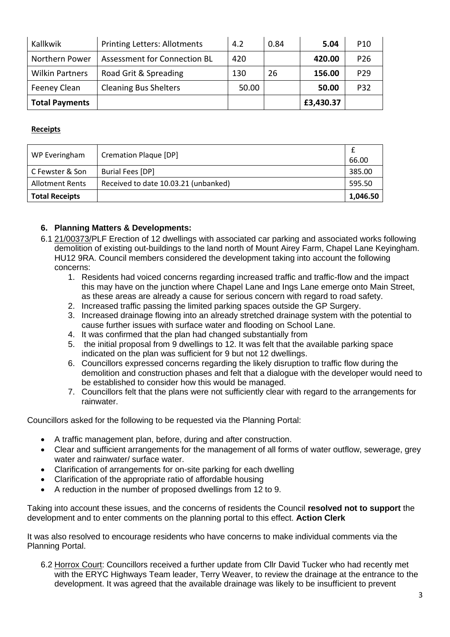| Kallkwik               | <b>Printing Letters: Allotments</b> | 4.2   | 0.84 | 5.04      | P <sub>10</sub> |
|------------------------|-------------------------------------|-------|------|-----------|-----------------|
| Northern Power         | Assessment for Connection BL        | 420   |      | 420.00    | P <sub>26</sub> |
| <b>Wilkin Partners</b> | Road Grit & Spreading               | 130   | 26   | 156.00    | P <sub>29</sub> |
| Feeney Clean           | <b>Cleaning Bus Shelters</b>        | 50.00 |      | 50.00     | P32             |
| <b>Total Payments</b>  |                                     |       |      | £3,430.37 |                 |

### **Receipts**

| WP Everingham          | <b>Cremation Plaque [DP]</b>         | 66.00    |
|------------------------|--------------------------------------|----------|
| C Fewster & Son        | Burial Fees [DP]                     | 385.00   |
| <b>Allotment Rents</b> | Received to date 10.03.21 (unbanked) | 595.50   |
| <b>Total Receipts</b>  |                                      | 1,046.50 |

### **6. Planning Matters & Developments:**

- 6.1 21/00373/PLF Erection of 12 dwellings with associated car parking and associated works following demolition of existing out-buildings to the land north of Mount Airey Farm, Chapel Lane Keyingham. HU12 9RA. Council members considered the development taking into account the following concerns:
	- 1. Residents had voiced concerns regarding increased traffic and traffic-flow and the impact this may have on the junction where Chapel Lane and Ings Lane emerge onto Main Street, as these areas are already a cause for serious concern with regard to road safety.
	- 2. Increased traffic passing the limited parking spaces outside the GP Surgery.
	- 3. Increased drainage flowing into an already stretched drainage system with the potential to cause further issues with surface water and flooding on School Lane.
	- 4. It was confirmed that the plan had changed substantially from
	- 5. the initial proposal from 9 dwellings to 12. It was felt that the available parking space indicated on the plan was sufficient for 9 but not 12 dwellings.
	- 6. Councillors expressed concerns regarding the likely disruption to traffic flow during the demolition and construction phases and felt that a dialogue with the developer would need to be established to consider how this would be managed.
	- 7. Councillors felt that the plans were not sufficiently clear with regard to the arrangements for rainwater.

Councillors asked for the following to be requested via the Planning Portal:

- A traffic management plan, before, during and after construction.
- Clear and sufficient arrangements for the management of all forms of water outflow, sewerage, grey water and rainwater/ surface water.
- Clarification of arrangements for on-site parking for each dwelling
- Clarification of the appropriate ratio of affordable housing
- A reduction in the number of proposed dwellings from 12 to 9.

Taking into account these issues, and the concerns of residents the Council **resolved not to support** the development and to enter comments on the planning portal to this effect. **Action Clerk**

It was also resolved to encourage residents who have concerns to make individual comments via the Planning Portal.

6.2 Horrox Court: Councillors received a further update from Cllr David Tucker who had recently met with the ERYC Highways Team leader, Terry Weaver, to review the drainage at the entrance to the development. It was agreed that the available drainage was likely to be insufficient to prevent